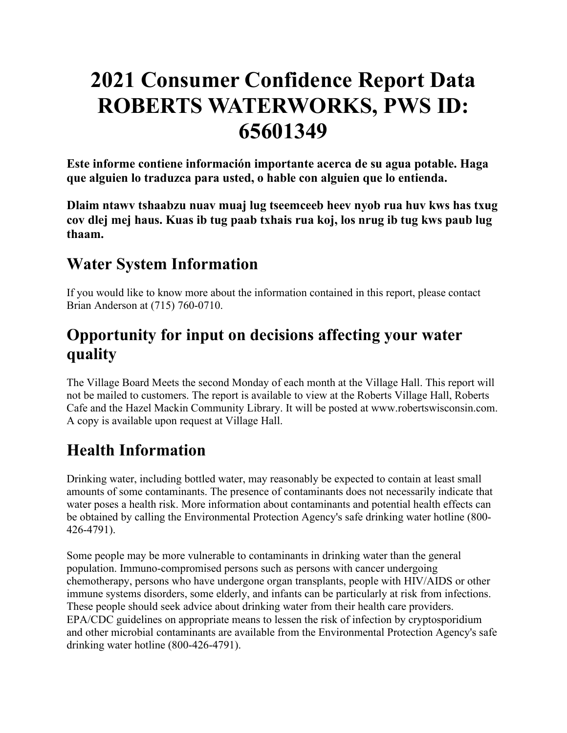# **2021 Consumer Confidence Report Data ROBERTS WATERWORKS, PWS ID: 65601349**

**Este informe contiene información importante acerca de su agua potable. Haga que alguien lo traduzca para usted, o hable con alguien que lo entienda.**

**Dlaim ntawv tshaabzu nuav muaj lug tseemceeb heev nyob rua huv kws has txug cov dlej mej haus. Kuas ib tug paab txhais rua koj, los nrug ib tug kws paub lug thaam.**

### **Water System Information**

If you would like to know more about the information contained in this report, please contact Brian Anderson at (715) 760-0710.

# **Opportunity for input on decisions affecting your water quality**

The Village Board Meets the second Monday of each month at the Village Hall. This report will not be mailed to customers. The report is available to view at the Roberts Village Hall, Roberts Cafe and the Hazel Mackin Community Library. It will be posted at www.robertswisconsin.com. A copy is available upon request at Village Hall.

# **Health Information**

Drinking water, including bottled water, may reasonably be expected to contain at least small amounts of some contaminants. The presence of contaminants does not necessarily indicate that water poses a health risk. More information about contaminants and potential health effects can be obtained by calling the Environmental Protection Agency's safe drinking water hotline (800- 426-4791).

Some people may be more vulnerable to contaminants in drinking water than the general population. Immuno-compromised persons such as persons with cancer undergoing chemotherapy, persons who have undergone organ transplants, people with HIV/AIDS or other immune systems disorders, some elderly, and infants can be particularly at risk from infections. These people should seek advice about drinking water from their health care providers. EPA/CDC guidelines on appropriate means to lessen the risk of infection by cryptosporidium and other microbial contaminants are available from the Environmental Protection Agency's safe drinking water hotline (800-426-4791).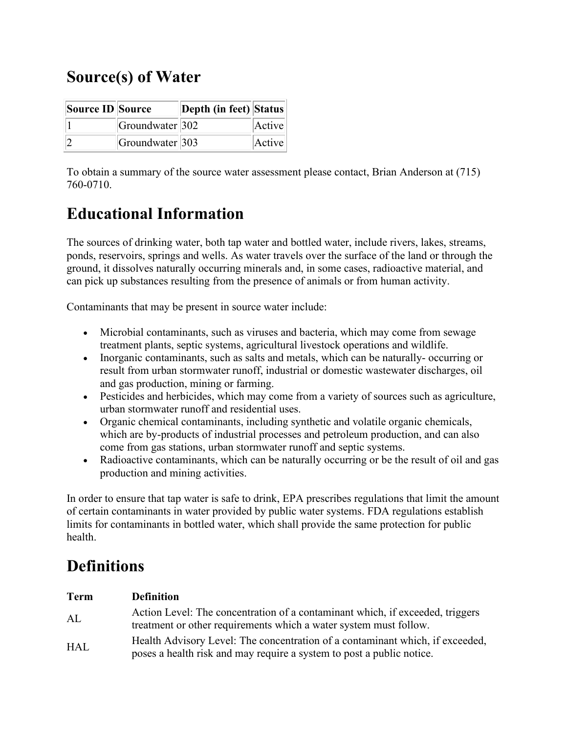# **Source(s) of Water**

| Source ID Source |                            | Depth (in feet) Status |        |
|------------------|----------------------------|------------------------|--------|
|                  | $ G$ roundwater $ 302 $    |                        | Active |
|                  | Groundwater <sup>303</sup> |                        | Active |

To obtain a summary of the source water assessment please contact, Brian Anderson at (715) 760-0710.

# **Educational Information**

The sources of drinking water, both tap water and bottled water, include rivers, lakes, streams, ponds, reservoirs, springs and wells. As water travels over the surface of the land or through the ground, it dissolves naturally occurring minerals and, in some cases, radioactive material, and can pick up substances resulting from the presence of animals or from human activity.

Contaminants that may be present in source water include:

- Microbial contaminants, such as viruses and bacteria, which may come from sewage treatment plants, septic systems, agricultural livestock operations and wildlife.
- Inorganic contaminants, such as salts and metals, which can be naturally-occurring or result from urban stormwater runoff, industrial or domestic wastewater discharges, oil and gas production, mining or farming.
- Pesticides and herbicides, which may come from a variety of sources such as agriculture, urban stormwater runoff and residential uses.
- Organic chemical contaminants, including synthetic and volatile organic chemicals, which are by-products of industrial processes and petroleum production, and can also come from gas stations, urban stormwater runoff and septic systems.
- Radioactive contaminants, which can be naturally occurring or be the result of oil and gas production and mining activities.

In order to ensure that tap water is safe to drink, EPA prescribes regulations that limit the amount of certain contaminants in water provided by public water systems. FDA regulations establish limits for contaminants in bottled water, which shall provide the same protection for public health.

# **Definitions**

| Term | <b>Definition</b>                                                                                                                                      |
|------|--------------------------------------------------------------------------------------------------------------------------------------------------------|
| AL   | Action Level: The concentration of a contaminant which, if exceeded, triggers<br>treatment or other requirements which a water system must follow.     |
| HAL  | Health Advisory Level: The concentration of a contaminant which, if exceeded,<br>poses a health risk and may require a system to post a public notice. |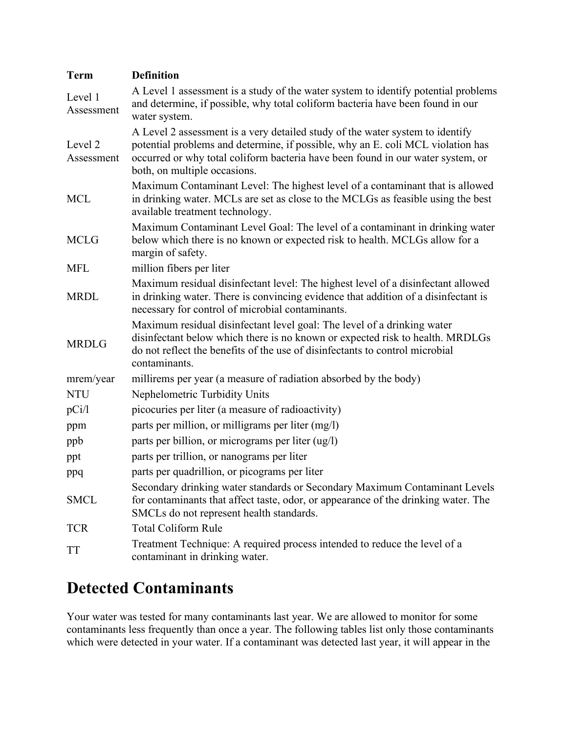| <b>Term</b>           | <b>Definition</b>                                                                                                                                                                                                                                                                   |  |  |  |  |
|-----------------------|-------------------------------------------------------------------------------------------------------------------------------------------------------------------------------------------------------------------------------------------------------------------------------------|--|--|--|--|
| Level 1<br>Assessment | A Level 1 assessment is a study of the water system to identify potential problems<br>and determine, if possible, why total coliform bacteria have been found in our<br>water system.                                                                                               |  |  |  |  |
| Level 2<br>Assessment | A Level 2 assessment is a very detailed study of the water system to identify<br>potential problems and determine, if possible, why an E. coli MCL violation has<br>occurred or why total coliform bacteria have been found in our water system, or<br>both, on multiple occasions. |  |  |  |  |
| <b>MCL</b>            | Maximum Contaminant Level: The highest level of a contaminant that is allowed<br>in drinking water. MCLs are set as close to the MCLGs as feasible using the best<br>available treatment technology.                                                                                |  |  |  |  |
| <b>MCLG</b>           | Maximum Contaminant Level Goal: The level of a contaminant in drinking water<br>below which there is no known or expected risk to health. MCLGs allow for a<br>margin of safety.                                                                                                    |  |  |  |  |
| <b>MFL</b>            | million fibers per liter                                                                                                                                                                                                                                                            |  |  |  |  |
| <b>MRDL</b>           | Maximum residual disinfectant level: The highest level of a disinfectant allowed<br>in drinking water. There is convincing evidence that addition of a disinfectant is<br>necessary for control of microbial contaminants.                                                          |  |  |  |  |
| <b>MRDLG</b>          | Maximum residual disinfectant level goal: The level of a drinking water<br>disinfectant below which there is no known or expected risk to health. MRDLGs<br>do not reflect the benefits of the use of disinfectants to control microbial<br>contaminants.                           |  |  |  |  |
| mrem/year             | millirems per year (a measure of radiation absorbed by the body)                                                                                                                                                                                                                    |  |  |  |  |
| <b>NTU</b>            | Nephelometric Turbidity Units                                                                                                                                                                                                                                                       |  |  |  |  |
| pCi/1                 | picocuries per liter (a measure of radioactivity)                                                                                                                                                                                                                                   |  |  |  |  |
| ppm                   | parts per million, or milligrams per liter (mg/l)                                                                                                                                                                                                                                   |  |  |  |  |
| ppb                   | parts per billion, or micrograms per liter (ug/l)                                                                                                                                                                                                                                   |  |  |  |  |
| ppt                   | parts per trillion, or nanograms per liter                                                                                                                                                                                                                                          |  |  |  |  |
| ppq                   | parts per quadrillion, or picograms per liter                                                                                                                                                                                                                                       |  |  |  |  |
| <b>SMCL</b>           | Secondary drinking water standards or Secondary Maximum Contaminant Levels<br>for contaminants that affect taste, odor, or appearance of the drinking water. The<br>SMCLs do not represent health standards.                                                                        |  |  |  |  |
| <b>TCR</b>            | <b>Total Coliform Rule</b>                                                                                                                                                                                                                                                          |  |  |  |  |
| TT                    | Treatment Technique: A required process intended to reduce the level of a<br>contaminant in drinking water.                                                                                                                                                                         |  |  |  |  |

# **Detected Contaminants**

Your water was tested for many contaminants last year. We are allowed to monitor for some contaminants less frequently than once a year. The following tables list only those contaminants which were detected in your water. If a contaminant was detected last year, it will appear in the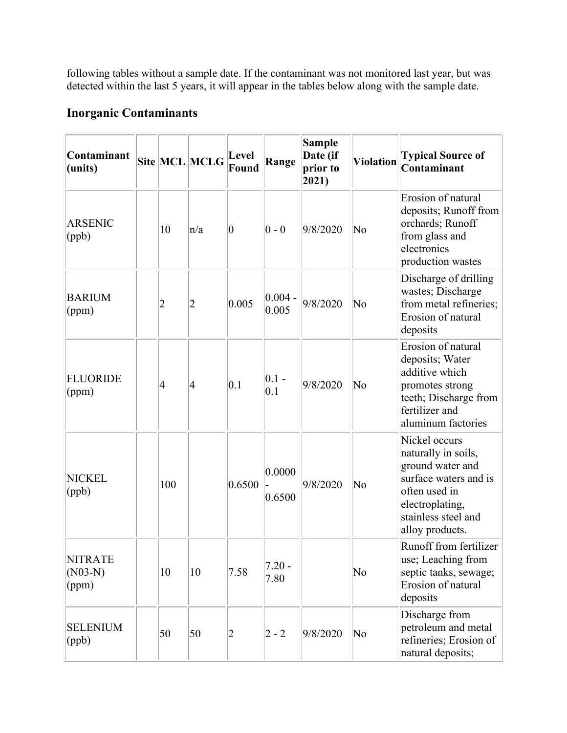following tables without a sample date. If the contaminant was not monitored last year, but was detected within the last 5 years, it will appear in the tables below along with the sample date.

### **Inorganic Contaminants**

| Contaminant<br>(units)               |     | Site MCL MCLG  | Level<br>Found | Range                | <b>Sample</b><br>Date (if<br>prior to<br>$ 2021\rangle$ | <b>Violation</b>       | <b>Typical Source of</b><br>Contaminant                                                                                                                         |
|--------------------------------------|-----|----------------|----------------|----------------------|---------------------------------------------------------|------------------------|-----------------------------------------------------------------------------------------------------------------------------------------------------------------|
| <b>ARSENIC</b><br>(ppb)              | 10  | n/a            | $ 0\>$         | $ 0 - 0 $            | 9/8/2020                                                | No                     | Erosion of natural<br>deposits; Runoff from<br>orchards; Runoff<br>from glass and<br>electronics<br>production wastes                                           |
| <b>BARIUM</b><br>(ppm)               | 2   | $\overline{2}$ | 0.005          | $ 0.004 -$<br> 0.005 | 9/8/2020                                                | $\overline{\text{No}}$ | Discharge of drilling<br>wastes; Discharge<br>from metal refineries;<br>Erosion of natural<br>deposits                                                          |
| <b>FLUORIDE</b><br>(ppm)             | 4   | 4              | 0.1            | $ 0.1 -$<br>0.1      | 9/8/2020                                                | No                     | Erosion of natural<br>deposits; Water<br>additive which<br>promotes strong<br>teeth; Discharge from<br>fertilizer and<br>aluminum factories                     |
| <b>NICKEL</b><br>(ppb)               | 100 |                | 0.6500         | 0.0000 <br> 0.6500   | 9/8/2020                                                | No                     | Nickel occurs<br>naturally in soils,<br>ground water and<br>surface waters and is<br>often used in<br>electroplating,<br>stainless steel and<br>alloy products. |
| <b>NITRATE</b><br>$(NO3-N)$<br>(ppm) | 10  | 10             | 7.58           | $7.20 -$<br>7.80     |                                                         | $\overline{\text{No}}$ | Runoff from fertilizer<br>use; Leaching from<br>septic tanks, sewage;<br>Erosion of natural<br>deposits                                                         |
| <b>SELENIUM</b><br>(ppb)             | 50  | 50             | $ 2\rangle$    | $ 2 - 2 $            | 9/8/2020                                                | No                     | Discharge from<br>petroleum and metal<br>refineries; Erosion of<br>natural deposits;                                                                            |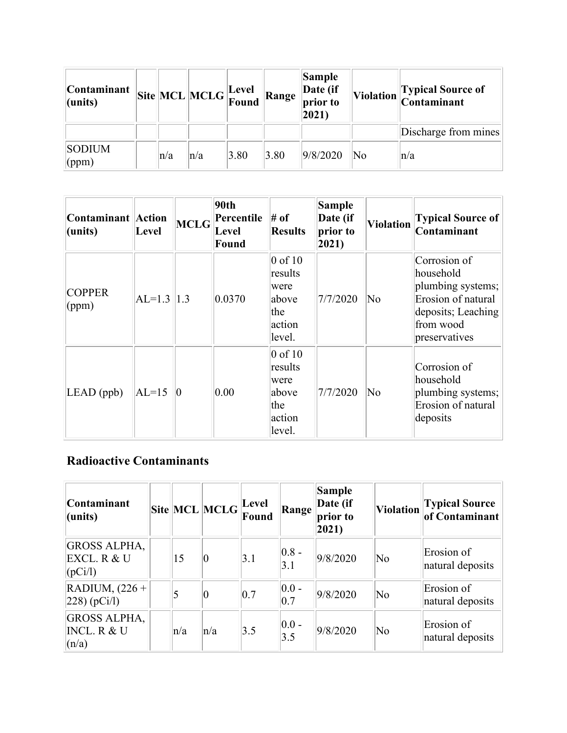| <b>Contaminant</b><br>$ $ (units) |         | $\boxed{\text{Site}}\boxed{\text{MCL}}\boxed{\text{MCLG}}\boxed{\text{Level}}$ |      | Range | Sample<br>Date (if<br>prior to<br>2021) |                        | Violation Typical Source of<br>Contaminant |
|-----------------------------------|---------|--------------------------------------------------------------------------------|------|-------|-----------------------------------------|------------------------|--------------------------------------------|
|                                   |         |                                                                                |      |       |                                         |                        | Discharge from mines                       |
| <b>SODIUM</b><br>$\gamma$ (ppm)   | $\ln/a$ | $\ln/a$                                                                        | 3.80 | 3.80  | 9/8/2020                                | $\overline{\text{No}}$ | $\ln/a$                                    |

| Contaminant Action<br>$ $ (units) | Level          | MCLG | 90th<br>Percentile<br>Level<br>Found | $#$ of<br><b>Results</b>                                           | <b>Sample</b><br>Date (if<br>prior to<br>$ 2021\rangle$ | <b>Violation</b> | <b>Typical Source of</b><br>Contaminant                                                                                  |
|-----------------------------------|----------------|------|--------------------------------------|--------------------------------------------------------------------|---------------------------------------------------------|------------------|--------------------------------------------------------------------------------------------------------------------------|
| <b>COPPER</b><br>$\gamma$ (ppm)   | $ AL=1.3  1.3$ |      | 0.0370                               | $0$ of 10<br>results<br>were<br>above<br>the<br>action<br>level.   | 7/7/2020                                                | No               | Corrosion of<br>household<br>plumbing systems;<br>Erosion of natural<br>deposits; Leaching<br>from wood<br>preservatives |
| $LEAD$ (ppb)                      | $AL=15$        | 10   | 0.00                                 | $0$ of $10$<br>results<br>were<br>above<br>the<br>action<br>level. | 7/7/2020                                                | No               | Corrosion of<br>household<br>plumbing systems;<br>Erosion of natural<br>deposits                                         |

### **Radioactive Contaminants**

| Contaminant<br>(units)                                 |     | $ \textbf{Site} $ MCL $ \textbf{MCLG} $ | Level<br>Found | Range            | Sample<br>Date (if<br>prior to<br>$ 2021\rangle$ |                        | Violation Typical Source       |
|--------------------------------------------------------|-----|-----------------------------------------|----------------|------------------|--------------------------------------------------|------------------------|--------------------------------|
| <b>GROSS ALPHA,</b><br>EXCL. R & U<br>(pCi/l)          | 15  | 10                                      | 3.1            | $ 0.8 -$<br>3.1  | 9/8/2020                                         | $\overline{\text{No}}$ | Erosion of<br>natural deposits |
| RADIUM, $(226 +$<br>$ 228)$ (pCi/l)                    |     | 0                                       | 0.7            | $ 0.0 -$<br> 0.7 | 9/8/2020                                         | $\overline{\text{No}}$ | Erosion of<br>natural deposits |
| <b>GROSS ALPHA,</b><br><b>INCL. R &amp; U</b><br>(n/a) | n/a | $\ln/a$                                 | 3.5            | $ 0.0 -$<br>3.5  | 9/8/2020                                         | $\overline{\text{No}}$ | Erosion of<br>natural deposits |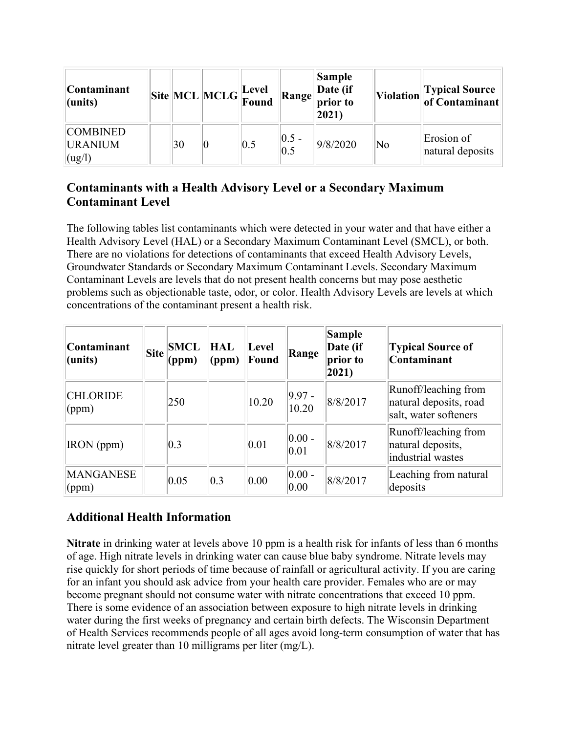| <b>Contaminant</b><br>$l$ (units)           |    | $\boxed{\text{Site}}\boxed{\text{MCL}}\boxed{\text{MCLG}}\boxed{\text{Level}}$ |     |                  | Sample<br>Range Date (if<br>$ 2021\rangle$ |                        | Violation Typical Source       |
|---------------------------------------------|----|--------------------------------------------------------------------------------|-----|------------------|--------------------------------------------|------------------------|--------------------------------|
| <b>COMBINED</b><br><b>URANIUM</b><br>(ug/l) | 30 |                                                                                | 0.5 | $ 0.5 -$<br> 0.5 | 9/8/2020                                   | $\overline{\text{No}}$ | Erosion of<br>natural deposits |

### **Contaminants with a Health Advisory Level or a Secondary Maximum Contaminant Level**

The following tables list contaminants which were detected in your water and that have either a Health Advisory Level (HAL) or a Secondary Maximum Contaminant Level (SMCL), or both. There are no violations for detections of contaminants that exceed Health Advisory Levels, Groundwater Standards or Secondary Maximum Contaminant Levels. Secondary Maximum Contaminant Levels are levels that do not present health concerns but may pose aesthetic problems such as objectionable taste, odor, or color. Health Advisory Levels are levels at which concentrations of the contaminant present a health risk.

| <b>Contaminant</b><br>(units) | <b>Site</b> | <b>SMCL</b><br>(ppm) | HAL<br>(ppm) | Level<br>Found | Range              | <b>Sample</b><br>Date (if<br>prior to<br>$ 2021\rangle$ | <b>Typical Source of</b><br>Contaminant                                 |
|-------------------------------|-------------|----------------------|--------------|----------------|--------------------|---------------------------------------------------------|-------------------------------------------------------------------------|
| <b>CHLORIDE</b><br>(ppm)      |             | 250                  |              | 10.20          | $ 9.97 -$<br>10.20 | 8/8/2017                                                | Runoff/leaching from<br>natural deposits, road<br>salt, water softeners |
| <b>IRON</b> (ppm)             |             | 0.3                  |              | 0.01           | $ 0.00 -$<br> 0.01 | 8/8/2017                                                | Runoff/leaching from<br>natural deposits,<br>industrial wastes          |
| <b>MANGANESE</b><br>(ppm)     |             | 0.05                 | 0.3          | 0.00           | $ 0.00 -$<br>0.00  | 8/8/2017                                                | Leaching from natural<br>deposits                                       |

### **Additional Health Information**

**Nitrate** in drinking water at levels above 10 ppm is a health risk for infants of less than 6 months of age. High nitrate levels in drinking water can cause blue baby syndrome. Nitrate levels may rise quickly for short periods of time because of rainfall or agricultural activity. If you are caring for an infant you should ask advice from your health care provider. Females who are or may become pregnant should not consume water with nitrate concentrations that exceed 10 ppm. There is some evidence of an association between exposure to high nitrate levels in drinking water during the first weeks of pregnancy and certain birth defects. The Wisconsin Department of Health Services recommends people of all ages avoid long-term consumption of water that has nitrate level greater than 10 milligrams per liter (mg/L).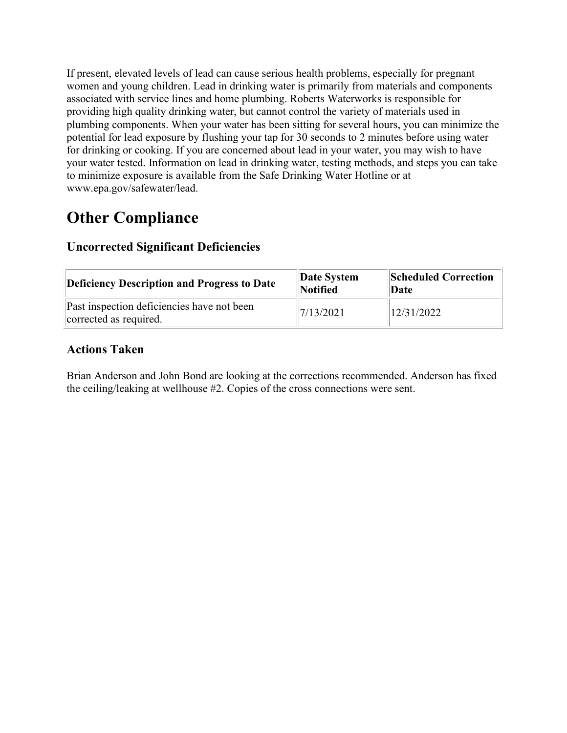If present, elevated levels of lead can cause serious health problems, especially for pregnant women and young children. Lead in drinking water is primarily from materials and components associated with service lines and home plumbing. Roberts Waterworks is responsible for providing high quality drinking water, but cannot control the variety of materials used in plumbing components. When your water has been sitting for several hours, you can minimize the potential for lead exposure by flushing your tap for 30 seconds to 2 minutes before using water for drinking or cooking. If you are concerned about lead in your water, you may wish to have your water tested. Information on lead in drinking water, testing methods, and steps you can take to minimize exposure is available from the Safe Drinking Water Hotline or at www.epa.gov/safewater/lead.

# **Other Compliance**

| <b>Deficiency Description and Progress to Date</b>                   | Date System<br>Notified | <b>Scheduled Correction</b><br>Date |
|----------------------------------------------------------------------|-------------------------|-------------------------------------|
| Past inspection deficiencies have not been<br>corrected as required. | 7/13/2021               | 12/31/2022                          |

### **Uncorrected Significant Deficiencies**

#### **Actions Taken**

Brian Anderson and John Bond are looking at the corrections recommended. Anderson has fixed the ceiling/leaking at wellhouse #2. Copies of the cross connections were sent.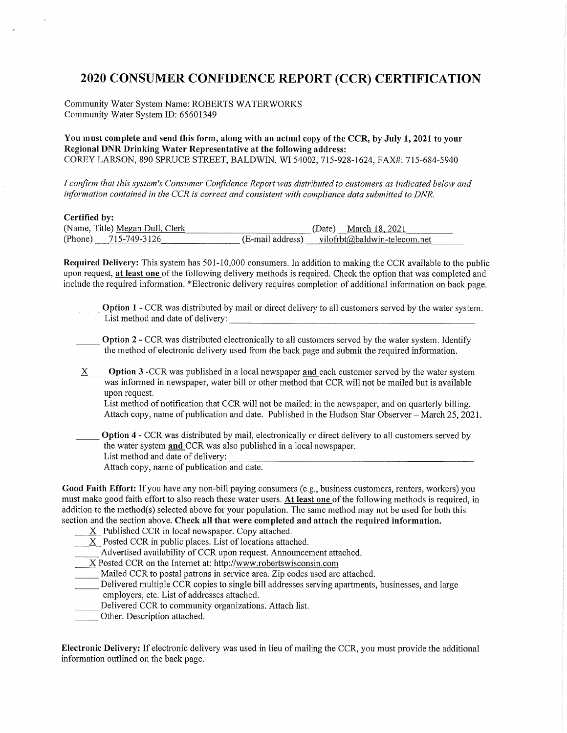#### **2020 CONSUMER CONFIDENCE REPORT (CCR) CERTIFICATION**

Community Water System Name: ROBERTS WATERWORKS Community Water System ID: 65601349

You must complete and send this form, along with an actual copy of the CCR, by July 1, 2021 to your Regional DNR Drinking Water Representative at the following address: COREY LARSON, 890 SPRUCE STREET, BALDWIN, WI 54002, 715-928-1624, FAX#: 715-684-5940

I confirm that this system's Consumer Confidence Report was distributed to customers as indicated below and information contained in the CCR is correct and consistent with compliance data submitted to DNR.

Cortified hy-

| (Name, Title) Megan Dull, Clerk | March 18, 2021<br>Date)                          |
|---------------------------------|--------------------------------------------------|
| (Phone) 715-749-3126            | $(E$ -mail address) vilofrbt@baldwin-telecom.net |

Required Delivery: This system has 501-10,000 consumers. In addition to making the CCR available to the public upon request, at least one of the following delivery methods is required. Check the option that was completed and include the required information. \*Electronic delivery requires completion of additional information on back page.

Option 1 - CCR was distributed by mail or direct delivery to all customers served by the water system. List method and date of delivery:

- **Option 2 CCR** was distributed electronically to all customers served by the water system. Identify the method of electronic delivery used from the back page and submit the required information.
- **Option 3** -CCR was published in a local newspaper and each customer served by the water system  $X$ was informed in newspaper, water bill or other method that CCR will not be mailed but is available upon request.

List method of notification that CCR will not be mailed: in the newspaper, and on quarterly billing. Attach copy, name of publication and date. Published in the Hudson Star Observer – March 25, 2021.

Option 4 - CCR was distributed by mail, electronically or direct delivery to all customers served by the water system and CCR was also published in a local newspaper. List method and date of delivery: Attach copy, name of publication and date.

Good Faith Effort: If you have any non-bill paying consumers (e.g., business customers, renters, workers) you must make good faith effort to also reach these water users. At least one of the following methods is required, in addition to the method(s) selected above for your population. The same method may not be used for both this section and the section above. Check all that were completed and attach the required information.

- $X$  Published CCR in local newspaper. Copy attached.
- X Posted CCR in public places. List of locations attached.

Advertised availability of CCR upon request. Announcement attached.

X Posted CCR on the Internet at: http://www.robertswisconsin.com

Mailed CCR to postal patrons in service area. Zip codes used are attached.

Delivered multiple CCR copies to single bill addresses serving apartments, businesses, and large employers, etc. List of addresses attached.

- Delivered CCR to community organizations. Attach list.
- Other. Description attached.

Electronic Delivery: If electronic delivery was used in lieu of mailing the CCR, you must provide the additional information outlined on the back page.